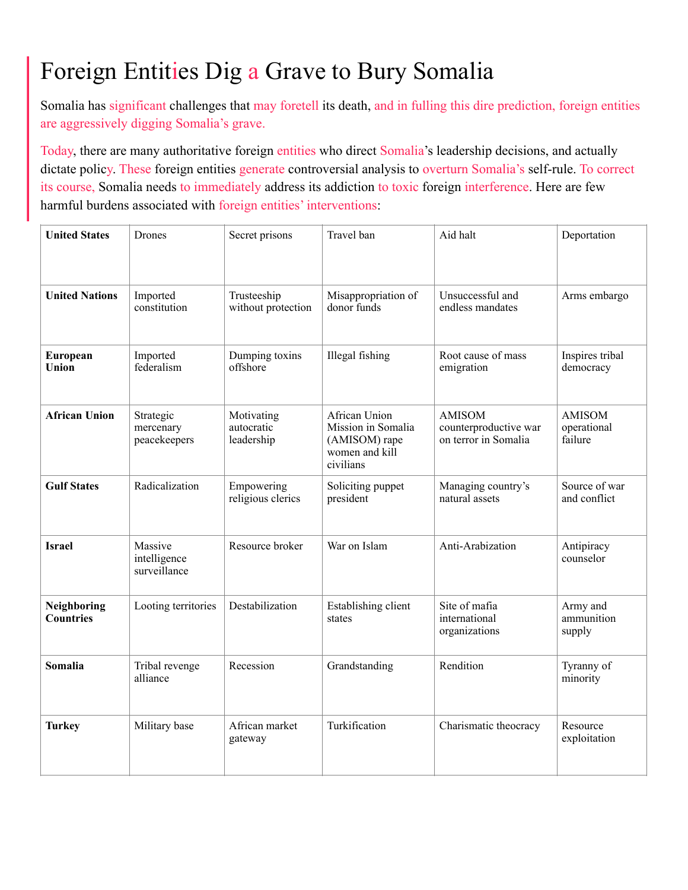# Foreign Entities Dig a Grave to Bury Somalia

Somalia has significant challenges that may foretell its death, and in fulling this dire prediction, foreign entities are aggressively digging Somalia's grave.

Today, there are many authoritative foreign entities who direct Somalia's leadership decisions, and actually dictate policy. These foreign entities generate controversial analysis to overturn Somalia's self-rule. To correct its course, Somalia needs to immediately address its addiction to toxic foreign interference. Here are few harmful burdens associated with foreign entities' interventions:

| <b>United States</b>            | Drones                                  | Secret prisons                         | Travel ban                                                                          | Aid halt                                                       | Deportation                             |
|---------------------------------|-----------------------------------------|----------------------------------------|-------------------------------------------------------------------------------------|----------------------------------------------------------------|-----------------------------------------|
| <b>United Nations</b>           | Imported<br>constitution                | Trusteeship<br>without protection      | Misappropriation of<br>donor funds                                                  | Unsuccessful and<br>endless mandates                           | Arms embargo                            |
| European<br>Union               | Imported<br>federalism                  | Dumping toxins<br>offshore             | Illegal fishing                                                                     | Root cause of mass<br>emigration                               | Inspires tribal<br>democracy            |
| <b>African Union</b>            | Strategic<br>mercenary<br>peacekeepers  | Motivating<br>autocratic<br>leadership | African Union<br>Mission in Somalia<br>(AMISOM) rape<br>women and kill<br>civilians | <b>AMISOM</b><br>counterproductive war<br>on terror in Somalia | <b>AMISOM</b><br>operational<br>failure |
| <b>Gulf States</b>              | Radicalization                          | Empowering<br>religious clerics        | Soliciting puppet<br>president                                                      | Managing country's<br>natural assets                           | Source of war<br>and conflict           |
| <b>Israel</b>                   | Massive<br>intelligence<br>surveillance | Resource broker                        | War on Islam                                                                        | Anti-Arabization                                               | Antipiracy<br>counselor                 |
| Neighboring<br><b>Countries</b> | Looting territories                     | Destabilization                        | Establishing client<br>states                                                       | Site of mafia<br>international<br>organizations                | Army and<br>ammunition<br>supply        |
| Somalia                         | Tribal revenge<br>alliance              | Recession                              | Grandstanding                                                                       | Rendition                                                      | Tyranny of<br>minority                  |
| <b>Turkey</b>                   | Military base                           | African market<br>gateway              | Turkification                                                                       | Charismatic theocracy                                          | Resource<br>exploitation                |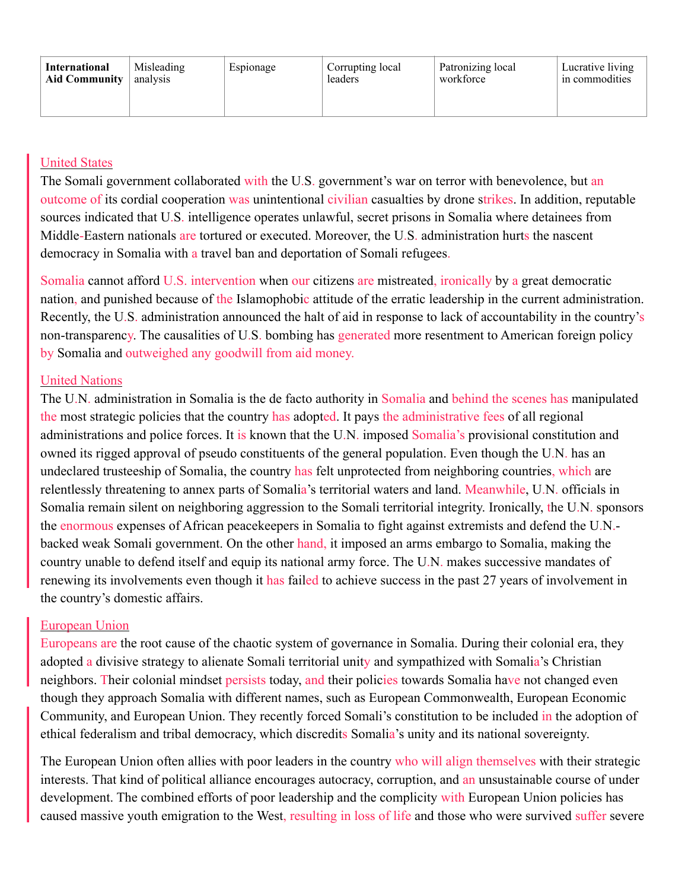| International        | Misleading | Espionage | Corrupting local | Patronizing local | Lucrative living |
|----------------------|------------|-----------|------------------|-------------------|------------------|
| <b>Aid Community</b> | analysis   |           | leaders          | workforce         | in commodities   |
|                      |            |           |                  |                   |                  |

## United States

The Somali government collaborated with the U.S. government's war on terror with benevolence, but an outcome of its cordial cooperation was unintentional civilian casualties by drone strikes. In addition, reputable sources indicated that U.S. intelligence operates unlawful, secret prisons in Somalia where detainees from Middle-Eastern nationals are tortured or executed. Moreover, the U.S. administration hurts the nascent democracy in Somalia with a travel ban and deportation of Somali refugees.

Somalia cannot afford U.S. intervention when our citizens are mistreated, ironically by a great democratic nation, and punished because of the Islamophobic attitude of the erratic leadership in the current administration. Recently, the U.S. administration announced the halt of aid in response to lack of accountability in the country's non-transparency. The causalities of U.S. bombing has generated more resentment to American foreign policy by Somalia and outweighed any goodwill from aid money.

### United Nations

The U.N. administration in Somalia is the de facto authority in Somalia and behind the scenes has manipulated the most strategic policies that the country has adopted. It pays the administrative fees of all regional administrations and police forces. It is known that the U.N. imposed Somalia's provisional constitution and owned its rigged approval of pseudo constituents of the general population. Even though the U.N. has an undeclared trusteeship of Somalia, the country has felt unprotected from neighboring countries, which are relentlessly threatening to annex parts of Somalia's territorial waters and land. Meanwhile, U.N. officials in Somalia remain silent on neighboring aggression to the Somali territorial integrity. Ironically, the U.N. sponsors the enormous expenses of African peacekeepers in Somalia to fight against extremists and defend the U.N. backed weak Somali government. On the other hand, it imposed an arms embargo to Somalia, making the country unable to defend itself and equip its national army force. The U.N. makes successive mandates of renewing its involvements even though it has failed to achieve success in the past 27 years of involvement in the country's domestic affairs.

## European Union

Europeans are the root cause of the chaotic system of governance in Somalia. During their colonial era, they adopted a divisive strategy to alienate Somali territorial unity and sympathized with Somalia's Christian neighbors. Their colonial mindset persists today, and their policies towards Somalia have not changed even though they approach Somalia with different names, such as European Commonwealth, European Economic Community, and European Union. They recently forced Somali's constitution to be included in the adoption of ethical federalism and tribal democracy, which discredits Somalia's unity and its national sovereignty.

The European Union often allies with poor leaders in the country who will align themselves with their strategic interests. That kind of political alliance encourages autocracy, corruption, and an unsustainable course of under development. The combined efforts of poor leadership and the complicity with European Union policies has caused massive youth emigration to the West, resulting in loss of life and those who were survived suffer severe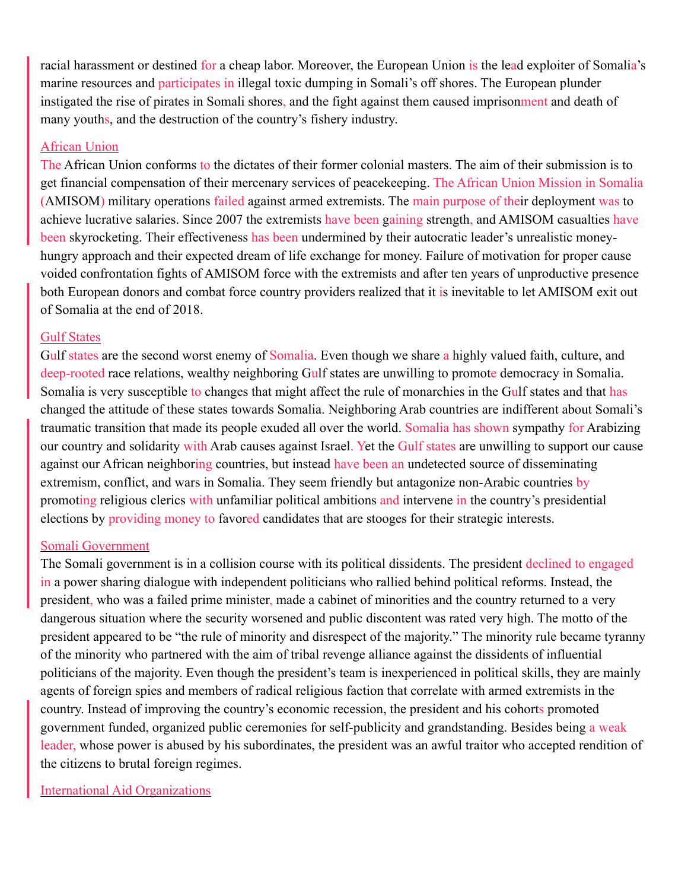racial harassment or destined for a cheap labor. Moreover, the European Union is the lead exploiter of Somalia's marine resources and participates in illegal toxic dumping in Somali's off shores. The European plunder instigated the rise of pirates in Somali shores, and the fight against them caused imprisonment and death of many youths, and the destruction of the country's fishery industry.

#### African Union

The African Union conforms to the dictates of their former colonial masters. The aim of their submission is to get financial compensation of their mercenary services of peacekeeping. The African Union Mission in Somalia (AMISOM) military operations failed against armed extremists. The main purpose of their deployment was to achieve lucrative salaries. Since 2007 the extremists have been gaining strength, and AMISOM casualties have been skyrocketing. Their effectiveness has been undermined by their autocratic leader's unrealistic moneyhungry approach and their expected dream of life exchange for money. Failure of motivation for proper cause voided confrontation fights of AMISOM force with the extremists and after ten years of unproductive presence both European donors and combat force country providers realized that it is inevitable to let AMISOM exit out of Somalia at the end of 2018.

#### Gulf States

Gulf states are the second worst enemy of Somalia. Even though we share a highly valued faith, culture, and deep-rooted race relations, wealthy neighboring Gulf states are unwilling to promote democracy in Somalia. Somalia is very susceptible to changes that might affect the rule of monarchies in the Gulf states and that has changed the attitude of these states towards Somalia. Neighboring Arab countries are indifferent about Somali's traumatic transition that made its people exuded all over the world. Somalia has shown sympathy for Arabizing our country and solidarity with Arab causes against Israel. Yet the Gulf states are unwilling to support our cause against our African neighboring countries, but instead have been an undetected source of disseminating extremism, conflict, and wars in Somalia. They seem friendly but antagonize non-Arabic countries by promoting religious clerics with unfamiliar political ambitions and intervene in the country's presidential elections by providing money to favored candidates that are stooges for their strategic interests.

#### Somali Government

The Somali government is in a collision course with its political dissidents. The president declined to engaged in a power sharing dialogue with independent politicians who rallied behind political reforms. Instead, the president, who was a failed prime minister, made a cabinet of minorities and the country returned to a very dangerous situation where the security worsened and public discontent was rated very high. The motto of the president appeared to be "the rule of minority and disrespect of the majority." The minority rule became tyranny of the minority who partnered with the aim of tribal revenge alliance against the dissidents of influential politicians of the majority. Even though the president's team is inexperienced in political skills, they are mainly agents of foreign spies and members of radical religious faction that correlate with armed extremists in the country. Instead of improving the country's economic recession, the president and his cohorts promoted government funded, organized public ceremonies for self-publicity and grandstanding. Besides being a weak leader, whose power is abused by his subordinates, the president was an awful traitor who accepted rendition of the citizens to brutal foreign regimes.

International Aid Organizations